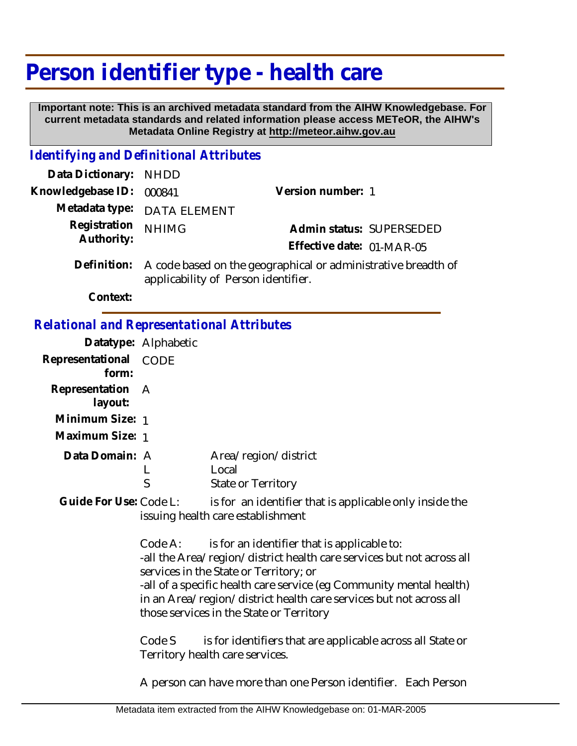## **Person identifier type - health care**

 **Important note: This is an archived metadata standard from the AIHW Knowledgebase. For current metadata standards and related information please access METeOR, the AIHW's Metadata Online Registry at http://meteor.aihw.gov.au**

## *Identifying and Definitional Attributes*

| Data Dictionary: NHDD      |                                                                        |                           |  |
|----------------------------|------------------------------------------------------------------------|---------------------------|--|
| Knowledgebase ID: 000841   |                                                                        | Version number: 1         |  |
|                            | Metadata type: DATA ELEMENT                                            |                           |  |
| Registration<br>Authority: | <b>NHIMG</b>                                                           | Admin status: SUPERSEDED  |  |
|                            |                                                                        | Effective date: 01-MAR-05 |  |
|                            | Definition: A code based on the geographical or administrative breadth |                           |  |

ative breadth of applicability of Person identifier. **Definition:**

**Context:**

## *Relational and Representational Attributes*

|                             | Datatype: Alphabetic |                                                     |  |
|-----------------------------|----------------------|-----------------------------------------------------|--|
| Representational<br>form:   | CODE                 |                                                     |  |
| Representation A<br>layout: |                      |                                                     |  |
| Minimum Size: 1             |                      |                                                     |  |
| Maximum Size: 1             |                      |                                                     |  |
| Data Domain: A              |                      | Area/region/district<br>Local<br>State or Territory |  |

is for an identifier that is applicable only inside the issuing health care establishment **Guide For Use:**

> Code A: is for an identifier that is applicable to: -all the Area/region/district health care services but not across all services in the State or Territory; or -all of a specific health care service (eg Community mental health) in an Area/region/district health care services but not across all those services in the State or Territory

Code S is for identifiers that are applicable across all State or Territory health care services.

A person can have more than one Person identifier. Each Person